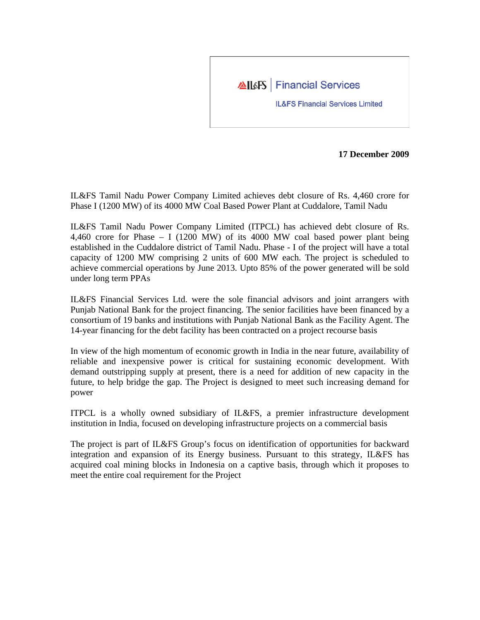

**17 December 2009**

IL&FS Tamil Nadu Power Company Limited achieves debt closure of Rs. 4,460 crore for Phase I (1200 MW) of its 4000 MW Coal Based Power Plant at Cuddalore, Tamil Nadu

IL&FS Tamil Nadu Power Company Limited (ITPCL) has achieved debt closure of Rs. 4,460 crore for Phase – I (1200 MW) of its 4000 MW coal based power plant being established in the Cuddalore district of Tamil Nadu. Phase - I of the project will have a total capacity of 1200 MW comprising 2 units of 600 MW each. The project is scheduled to achieve commercial operations by June 2013. Upto 85% of the power generated will be sold under long term PPAs

IL&FS Financial Services Ltd. were the sole financial advisors and joint arrangers with Punjab National Bank for the project financing. The senior facilities have been financed by a consortium of 19 banks and institutions with Punjab National Bank as the Facility Agent. The 14-year financing for the debt facility has been contracted on a project recourse basis

In view of the high momentum of economic growth in India in the near future, availability of reliable and inexpensive power is critical for sustaining economic development. With demand outstripping supply at present, there is a need for addition of new capacity in the future, to help bridge the gap. The Project is designed to meet such increasing demand for power

ITPCL is a wholly owned subsidiary of IL&FS, a premier infrastructure development institution in India, focused on developing infrastructure projects on a commercial basis

The project is part of IL&FS Group's focus on identification of opportunities for backward integration and expansion of its Energy business. Pursuant to this strategy, IL&FS has acquired coal mining blocks in Indonesia on a captive basis, through which it proposes to meet the entire coal requirement for the Project